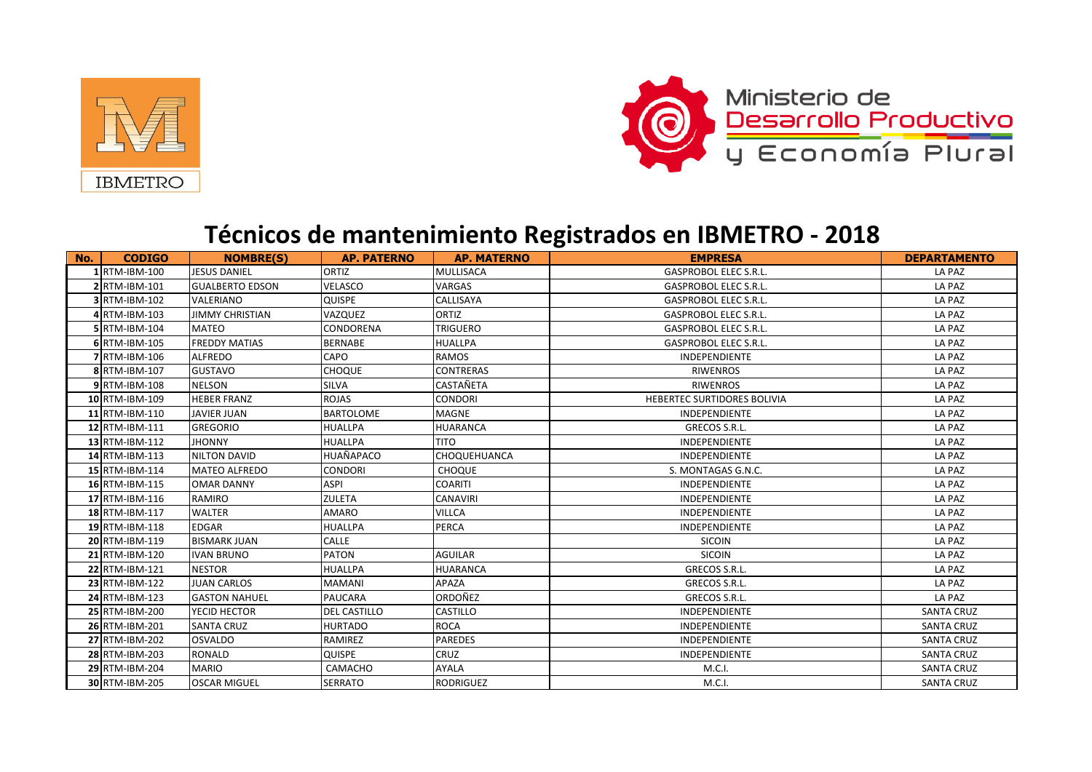



## **Técnicos de mantenimiento Registrados en IBMETRO - 2018**

| No.<br><b>CODIGO</b>        | <b>NOMBRE(S)</b>       | <b>AP. PATERNO</b>  | <b>AP. MATERNO</b>  | <b>EMPRESA</b>               | <b>DEPARTAMENTO</b> |
|-----------------------------|------------------------|---------------------|---------------------|------------------------------|---------------------|
| 1 RTM-IBM-100               | <b>JESUS DANIEL</b>    | ORTIZ               | MULLISACA           | <b>GASPROBOL ELEC S.R.L.</b> | LA PAZ              |
| 2 RTM-IBM-101               | <b>GUALBERTO EDSON</b> | VELASCO             | <b>VARGAS</b>       | GASPROBOL ELEC S.R.L.        | LA PAZ              |
| 3 RTM-IBM-102               | <b>VALERIANO</b>       | QUISPE              | <b>CALLISAYA</b>    | <b>GASPROBOL ELEC S.R.L.</b> | LA PAZ              |
| 4 RTM-IBM-103               | <b>JIMMY CHRISTIAN</b> | VAZQUEZ             | ORTIZ               | <b>GASPROBOL ELEC S.R.L.</b> | LA PAZ              |
| 5 RTM-IBM-104               | MATEO                  | <b>CONDORENA</b>    | <b>TRIGUERO</b>     | <b>GASPROBOL ELEC S.R.L.</b> | LA PAZ              |
| 6 RTM-IBM-105               | <b>FREDDY MATIAS</b>   | <b>BERNABE</b>      | <b>HUALLPA</b>      | <b>GASPROBOL ELEC S.R.L.</b> | LA PAZ              |
| 7 RTM-IBM-106               | <b>ALFREDO</b>         | CAPO                | <b>RAMOS</b>        | <b>INDEPENDIENTE</b>         | LA PAZ              |
| 8 RTM-IBM-107               | <b>GUSTAVO</b>         | <b>CHOQUE</b>       | <b>CONTRERAS</b>    | <b>RIWENROS</b>              | LA PAZ              |
| 9 RTM-IBM-108               | <b>NELSON</b>          | <b>SILVA</b>        | <b>CASTAÑETA</b>    | <b>RIWENROS</b>              | LA PAZ              |
| 10 RTM-IBM-109              | <b>HEBER FRANZ</b>     | <b>ROJAS</b>        | <b>CONDORI</b>      | HEBERTEC SURTIDORES BOLIVIA  | LA PAZ              |
| 11 RTM-IBM-110              | <b>JAVIER JUAN</b>     | <b>BARTOLOME</b>    | <b>MAGNE</b>        | <b>INDEPENDIENTE</b>         | LA PAZ              |
| 12 RTM-IBM-111              | <b>GREGORIO</b>        | <b>HUALLPA</b>      | <b>HUARANCA</b>     | GRECOS S.R.L.                | LA PAZ              |
| $13$ <sub>RTM-IBM-112</sub> | <b>JHONNY</b>          | <b>HUALLPA</b>      | <b>TITO</b>         | <b>INDEPENDIENTE</b>         | LA PAZ              |
| 14 RTM-IBM-113              | <b>NILTON DAVID</b>    | <b>HUAÑAPACO</b>    | <b>CHOQUEHUANCA</b> | <b>INDEPENDIENTE</b>         | LA PAZ              |
| 15 RTM-IBM-114              | <b>MATEO ALFREDO</b>   | <b>CONDORI</b>      | <b>CHOQUE</b>       | S. MONTAGAS G.N.C.           | LA PAZ              |
| 16 RTM-IBM-115              | <b>OMAR DANNY</b>      | <b>ASPI</b>         | <b>COARITI</b>      | <b>INDEPENDIENTE</b>         | LA PAZ              |
| 17 RTM-IBM-116              | RAMIRO                 | <b>ZULETA</b>       | <b>CANAVIRI</b>     | <b>INDEPENDIENTE</b>         | LA PAZ              |
| 18 RTM-IBM-117              | <b>WALTER</b>          | <b>AMARO</b>        | <b>VILLCA</b>       | <b>INDEPENDIENTE</b>         | LA PAZ              |
| 19 RTM-IBM-118              | <b>EDGAR</b>           | <b>HUALLPA</b>      | PERCA               | <b>INDEPENDIENTE</b>         | LA PAZ              |
| 20 RTM-IBM-119              | <b>BISMARK JUAN</b>    | <b>CALLE</b>        |                     | SICOIN                       | LA PAZ              |
| 21 RTM-IBM-120              | <b>IVAN BRUNO</b>      | <b>PATON</b>        | <b>AGUILAR</b>      | <b>SICOIN</b>                | LA PAZ              |
| 22 RTM-IBM-121              | <b>NESTOR</b>          | <b>HUALLPA</b>      | <b>HUARANCA</b>     | GRECOS S.R.L.                | LA PAZ              |
| 23 RTM-IBM-122              | <b>JUAN CARLOS</b>     | <b>MAMANI</b>       | APAZA               | GRECOS S.R.L.                | LA PAZ              |
| 24 RTM-IBM-123              | <b>GASTON NAHUEL</b>   | PAUCARA             | ORDOÑEZ             | GRECOS S.R.L.                | LA PAZ              |
| 25 RTM-IBM-200              | YECID HECTOR           | <b>DEL CASTILLO</b> | <b>CASTILLO</b>     | <b>INDEPENDIENTE</b>         | <b>SANTA CRUZ</b>   |
| 26 RTM-IBM-201              | <b>SANTA CRUZ</b>      | <b>HURTADO</b>      | <b>ROCA</b>         | INDEPENDIENTE                | <b>SANTA CRUZ</b>   |
| 27 RTM-IBM-202              | <b>OSVALDO</b>         | RAMIREZ             | <b>PAREDES</b>      | <b>INDEPENDIENTE</b>         | <b>SANTA CRUZ</b>   |
| 28 RTM-IBM-203              | <b>RONALD</b>          | QUISPE              | <b>CRUZ</b>         | <b>INDEPENDIENTE</b>         | <b>SANTA CRUZ</b>   |
| 29 RTM-IBM-204              | <b>MARIO</b>           | CAMACHO             | <b>AYALA</b>        | M.C.I.                       | <b>SANTA CRUZ</b>   |
| 30 RTM-IBM-205              | <b>OSCAR MIGUEL</b>    | <b>SERRATO</b>      | <b>RODRIGUEZ</b>    | M.C.I.                       | <b>SANTA CRUZ</b>   |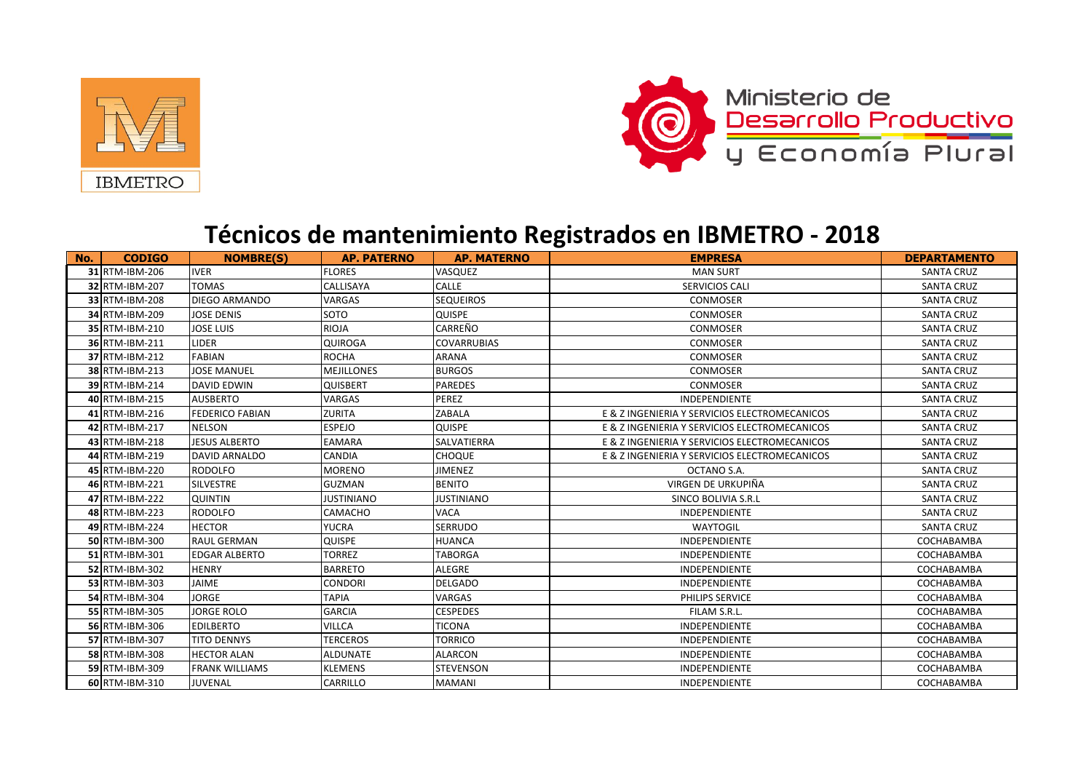



## **Técnicos de mantenimiento Registrados en IBMETRO - 2018**

| No. | <b>CODIGO</b>  | <b>NOMBRE(S)</b>       | <b>AP. PATERNO</b> | <b>AP. MATERNO</b> | <b>EMPRESA</b>                                | <b>DEPARTAMENTO</b> |
|-----|----------------|------------------------|--------------------|--------------------|-----------------------------------------------|---------------------|
|     | 31 RTM-IBM-206 | <b>IVER</b>            | <b>FLORES</b>      | VASQUEZ            | <b>MAN SURT</b>                               | <b>SANTA CRUZ</b>   |
|     | 32 RTM-IBM-207 | <b>TOMAS</b>           | CALLISAYA          | <b>CALLE</b>       | <b>SERVICIOS CALI</b>                         | <b>SANTA CRUZ</b>   |
|     | 33 RTM-IBM-208 | <b>DIEGO ARMANDO</b>   | <b>VARGAS</b>      | <b>SEQUEIROS</b>   | <b>CONMOSER</b>                               | <b>SANTA CRUZ</b>   |
|     | 34 RTM-IBM-209 | <b>JOSE DENIS</b>      | <b>SOTO</b>        | <b>QUISPE</b>      | <b>CONMOSER</b>                               | <b>SANTA CRUZ</b>   |
|     | 35 RTM-IBM-210 | <b>JOSE LUIS</b>       | <b>RIOJA</b>       | <b>CARREÑO</b>     | <b>CONMOSER</b>                               | <b>SANTA CRUZ</b>   |
|     | 36 RTM-IBM-211 | <b>LIDER</b>           | <b>QUIROGA</b>     | <b>COVARRUBIAS</b> | <b>CONMOSER</b>                               | <b>SANTA CRUZ</b>   |
|     | 37 RTM-IBM-212 | <b>FABIAN</b>          | <b>ROCHA</b>       | <b>ARANA</b>       | <b>CONMOSER</b>                               | <b>SANTA CRUZ</b>   |
|     | 38 RTM-IBM-213 | <b>JOSE MANUEL</b>     | <b>MEJILLONES</b>  | <b>BURGOS</b>      | CONMOSER                                      | <b>SANTA CRUZ</b>   |
|     | 39 RTM-IBM-214 | <b>DAVID EDWIN</b>     | <b>QUISBERT</b>    | <b>PAREDES</b>     | <b>CONMOSER</b>                               | <b>SANTA CRUZ</b>   |
|     | 40 RTM-IBM-215 | <b>AUSBERTO</b>        | VARGAS             | PEREZ              | <b>INDEPENDIENTE</b>                          | <b>SANTA CRUZ</b>   |
|     | 41 RTM-IBM-216 | <b>FEDERICO FABIAN</b> | <b>ZURITA</b>      | <b>ZABALA</b>      | E & Z INGENIERIA Y SERVICIOS ELECTROMECANICOS | <b>SANTA CRUZ</b>   |
|     | 42 RTM-IBM-217 | <b>NELSON</b>          | <b>ESPEJO</b>      | <b>QUISPE</b>      | E & Z INGENIERIA Y SERVICIOS ELECTROMECANICOS | <b>SANTA CRUZ</b>   |
|     | 43 RTM-IBM-218 | <b>JESUS ALBERTO</b>   | <b>EAMARA</b>      | <b>SALVATIERRA</b> | E & Z INGENIERIA Y SERVICIOS ELECTROMECANICOS | <b>SANTA CRUZ</b>   |
|     | 44 RTM-IBM-219 | <b>DAVID ARNALDO</b>   | <b>CANDIA</b>      | <b>CHOQUE</b>      | E & Z INGENIERIA Y SERVICIOS ELECTROMECANICOS | <b>SANTA CRUZ</b>   |
|     | 45 RTM-IBM-220 | <b>RODOLFO</b>         | <b>MORENO</b>      | <b>JIMENEZ</b>     | OCTANO S.A.                                   | <b>SANTA CRUZ</b>   |
|     | 46 RTM-IBM-221 | <b>SILVESTRE</b>       | <b>GUZMAN</b>      | <b>BENITO</b>      | VIRGEN DE URKUPIÑA                            | <b>SANTA CRUZ</b>   |
|     | 47 RTM-IBM-222 | <b>QUINTIN</b>         | <b>JUSTINIANO</b>  | <b>JUSTINIANO</b>  | <b>SINCO BOLIVIA S.R.L</b>                    | <b>SANTA CRUZ</b>   |
|     | 48 RTM-IBM-223 | <b>RODOLFO</b>         | CAMACHO            | <b>VACA</b>        | <b>INDEPENDIENTE</b>                          | <b>SANTA CRUZ</b>   |
|     | 49 RTM-IBM-224 | <b>HECTOR</b>          | <b>YUCRA</b>       | <b>SERRUDO</b>     | <b>WAYTOGIL</b>                               | <b>SANTA CRUZ</b>   |
|     | 50 RTM-IBM-300 | <b>RAUL GERMAN</b>     | <b>QUISPE</b>      | <b>HUANCA</b>      | <b>INDEPENDIENTE</b>                          | COCHABAMBA          |
|     | 51 RTM-IBM-301 | <b>EDGAR ALBERTO</b>   | <b>TORREZ</b>      | <b>TABORGA</b>     | <b>INDEPENDIENTE</b>                          | COCHABAMBA          |
|     | 52 RTM-IBM-302 | <b>HENRY</b>           | <b>BARRETO</b>     | <b>ALEGRE</b>      | <b>INDEPENDIENTE</b>                          | COCHABAMBA          |
|     | 53 RTM-IBM-303 | JAIME                  | <b>CONDORI</b>     | <b>DELGADO</b>     | INDEPENDIENTE                                 | COCHABAMBA          |
|     | 54 RTM-IBM-304 | <b>JORGE</b>           | <b>TAPIA</b>       | <b>VARGAS</b>      | PHILIPS SERVICE                               | COCHABAMBA          |
|     | 55 RTM-IBM-305 | <b>JORGE ROLO</b>      | <b>GARCIA</b>      | <b>CESPEDES</b>    | FILAM S.R.L.                                  | COCHABAMBA          |
|     | 56 RTM-IBM-306 | <b>EDILBERTO</b>       | <b>VILLCA</b>      | <b>TICONA</b>      | <b>INDEPENDIENTE</b>                          | COCHABAMBA          |
|     | 57 RTM-IBM-307 | <b>TITO DENNYS</b>     | <b>TERCEROS</b>    | <b>TORRICO</b>     | <b>INDEPENDIENTE</b>                          | COCHABAMBA          |
|     | 58 RTM-IBM-308 | <b>HECTOR ALAN</b>     | <b>ALDUNATE</b>    | <b>ALARCON</b>     | <b>INDEPENDIENTE</b>                          | COCHABAMBA          |
|     | 59 RTM-IBM-309 | <b>FRANK WILLIAMS</b>  | <b>KLEMENS</b>     | <b>STEVENSON</b>   | <b>INDEPENDIENTE</b>                          | COCHABAMBA          |
|     | 60 RTM-IBM-310 | <b>JUVENAL</b>         | CARRILLO           | <b>MAMANI</b>      | <b>INDEPENDIENTE</b>                          | COCHABAMBA          |